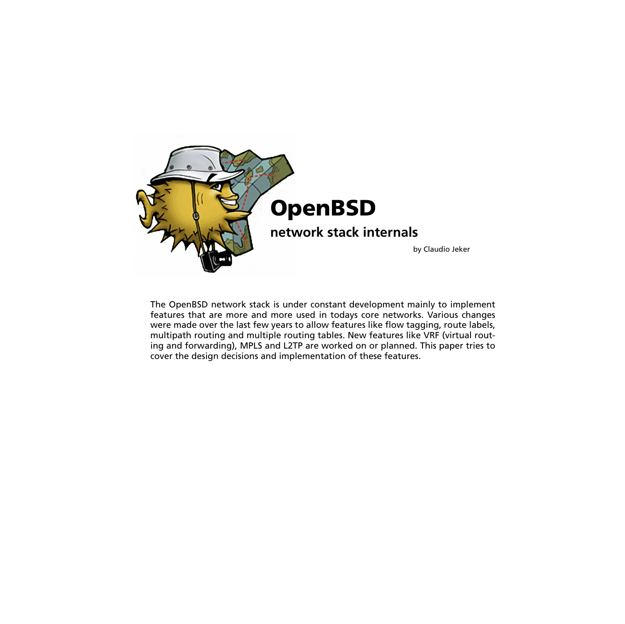

The OpenBSD network stack is under constant development mainly to implement features that are more and more used in todays core networks. Various changes were made over the last few years to allow features like flow tagging, route labels, multipath routing and multiple routing tables. New features like VRF (virtual routing and forwarding), MPLS and L2TP are worked on or planned. This paper tries to cover the design decisions and implementation of these features.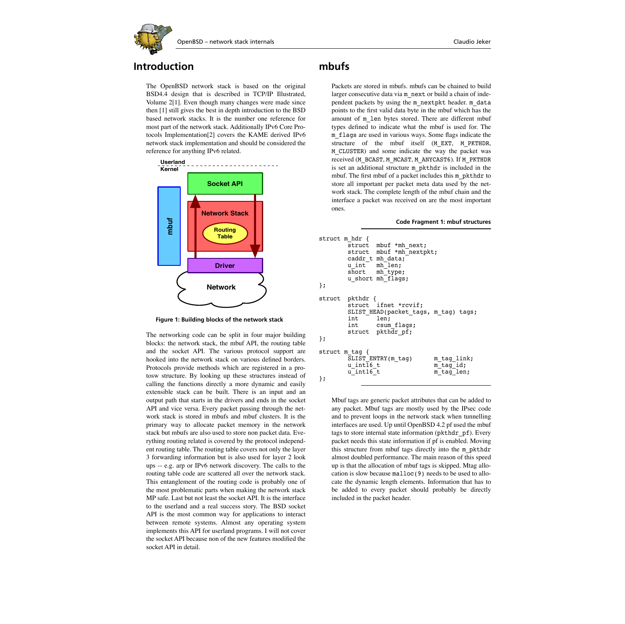

### **Introduction**

The OpenBSD network stack is based on the original BSD4.4 design that is described in TCP/IP Illustrated, Volume [2\[1\].](#page-5-0) Even though many changes were made since then [\[1\]](#page-5-0) still gives the best in depth introduction to the BSD based network stacks. It is the number one reference for most part of the network stack. Additionally IPv6 Core Protocols Implementatio[n\[2\]](#page-5-1) covers the KAME derived IPv6 network stack implementation and should be considered the reference for anything IPv6 related.



**Figure 1: Building blocks of the network stack**

The networking code can be split in four major building blocks: the network stack, the mbuf API, the routing table and the socket API. The various protocol support are hooked into the network stack on various defined borders. Protocols provide methods which are registered in a protosw structure. By looking up these structures instead of calling the functions directly a more dynamic and easily extensible stack can be built. There is an input and an output path that starts in the drivers and ends in the socket API and vice versa. Every packet passing through the network stack is stored in mbufs and mbuf clusters. It is the primary way to allocate packet memory in the network stack but mbufs are also used to store non packet data. Everything routing related is covered by the protocol independent routing table. The routing table covers not only the layer 3 forwarding information but is also used for layer 2 look ups -- e.g. arp or IPv6 network discovery. The calls to the routing table code are scattered all over the network stack. This entanglement of the routing code is probably one of the most problematic parts when making the network stack MP safe. Last but not least the socket API. It is the interface to the userland and a real success story. The BSD socket API is the most common way for applications to interact between remote systems. Almost any operating system implements this API for userland programs. I will not cover the socket API because non of the new features modified the socket API in detail.

## **mbufs**

Packets are stored in mbufs. mbufs can be chained to build larger consecutive data via m\_next or build a chain of independent packets by using the m\_nextpkt header. m\_data points to the first valid data byte in the mbuf which has the amount of m\_len bytes stored. There are different mbuf types defined to indicate what the mbuf is used for. The m\_flags are used in various ways. Some flags indicate the structure of the mbuf itself (M\_EXT, M\_PKTHDR, M\_CLUSTER) and some indicate the way the packet was received (M\_BCAST, M\_MCAST, M\_ANYCAST6). If M\_PKTHDR is set an additional structure m\_pkthdr is included in the mbuf. The first mbuf of a packet includes this m\_pkthdr to store all important per packet meta data used by the network stack. The complete length of the mbuf chain and the interface a packet was received on are the most important ones.

#### **Code Fragment 1: mbuf structures**

```
struct m hdr {
         struct mbuf *mh next;
         struct mbuf *mh<sup>-</sup>nextpkt;
          caddr_t mh_data;
         u_int mh_len;<br>short mh_type
                  mhtype;
         u short mh<sup>-flags;</sup>
};
struct pkthdr {
                  ifnet *rcvif;
          SLIST_HEAD(packet_tags, m_tag) tags;
                  len: int csum_flags;
         struct pkthdr pf;
};
struct m_tag {
          SLIST_ENTRY(m_tag) m_tag_link;
         u int\overline{16} t m tag id;
         u_int16<sup>-</sup>t m<sup>-</sup>tag<sup>-</sup>len;
};
```
Mbuf tags are generic packet attributes that can be added to any packet. Mbuf tags are mostly used by the IPsec code and to prevent loops in the network stack when tunnelling interfaces are used. Up until OpenBSD 4.2 pf used the mbuf tags to store internal state information (pkthdr pf). Every packet needs this state information if pf is enabled. Moving this structure from mbuf tags directly into the m\_pkthdr almost doubled performance. The main reason of this speed up is that the allocation of mbuf tags is skipped. Mtag allocation is slow because malloc(9) needs to be used to allocate the dynamic length elements. Information that has to be added to every packet should probably be directly included in the packet header.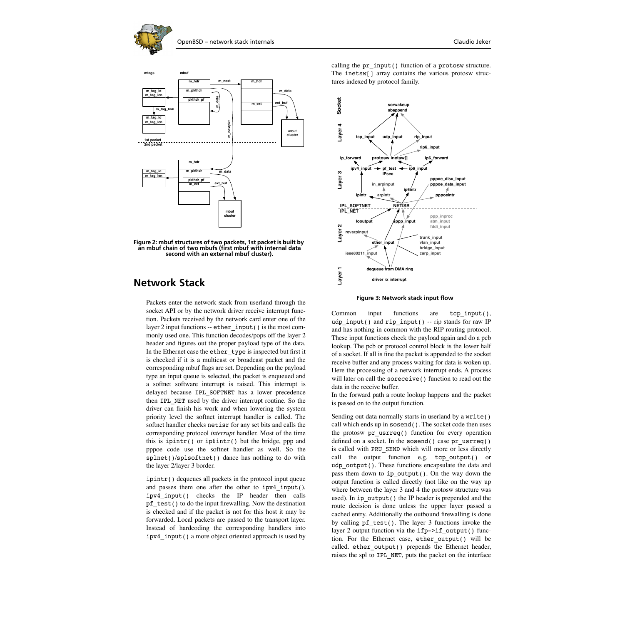





**Figure 2: mbuf structures of two packets, 1st packet is built by an mbuf chain of two mbufs (first mbuf with internal data second with an external mbuf cluster).**

## **Network Stack**

Packets enter the network stack from userland through the socket API or by the network driver receive interrupt function. Packets received by the network card enter one of the layer 2 input functions -- ether\_input() is the most commonly used one. This function decodes/pops off the layer 2 header and figures out the proper payload type of the data. In the Ethernet case the ether type is inspected but first it is checked if it is a multicast or broadcast packet and the corresponding mbuf flags are set. Depending on the payload type an input queue is selected, the packet is enqueued and a softnet software interrupt is raised. This interrupt is delayed because IPL\_SOFTNET has a lower precedence then IPL\_NET used by the driver interrupt routine. So the driver can finish his work and when lowering the system priority level the softnet interrupt handler is called. The softnet handler checks netisr for any set bits and calls the corresponding protocol *interrupt* handler. Most of the time this is ipintr() or ip6intr() but the bridge, ppp and pppoe code use the softnet handler as well. So the splnet()/splsoftnet() dance has nothing to do with the layer 2/layer 3 border.

ipintr() dequeues all packets in the protocol input queue and passes them one after the other to ipv4\_input(). ipv4\_input() checks the IP header then calls pf test() to do the input firewalling. Now the destination is checked and if the packet is not for this host it may be forwarded. Local packets are passed to the transport layer. Instead of hardcoding the corresponding handlers into ipv4\_input() a more object oriented approach is used by

calling the pr\_input() function of a protosw structure. The inetsw<sub>[]</sub> array contains the various protosw structures indexed by protocol family.



**Figure 3: Network stack input flow**

Common input functions are tcp\_input(), udp input() and rip input() -- rip stands for raw IP and has nothing in common with the RIP routing protocol. These input functions check the payload again and do a pcb lookup. The pcb or protocol control block is the lower half of a socket. If all is fine the packet is appended to the socket receive buffer and any process waiting for data is woken up. Here the processing of a network interrupt ends. A process will later on call the soreceive () function to read out the data in the receive buffer.

In the forward path a route lookup happens and the packet is passed on to the output function.

Sending out data normally starts in userland by a write () call which ends up in sosend(). The socket code then uses the protosw  $pr$  usrreq() function for every operation defined on a socket. In the sosend() case pr\_usrreq() is called with PRU\_SEND which will more or less directly call the output function e.g. tcp output() or udp output(). These functions encapsulate the data and pass them down to ip\_output(). On the way down the output function is called directly (not like on the way up where between the layer 3 and 4 the protosw structure was used). In ip\_output() the IP header is prepended and the route decision is done unless the upper layer passed a cached entry. Additionally the outbound firewalling is done by calling  $pf$  test(). The layer 3 functions invoke the layer 2 output function via the ifp->if output() function. For the Ethernet case, ether\_output() will be called. ether output() prepends the Ethernet header, raises the spl to IPL\_NET, puts the packet on the interface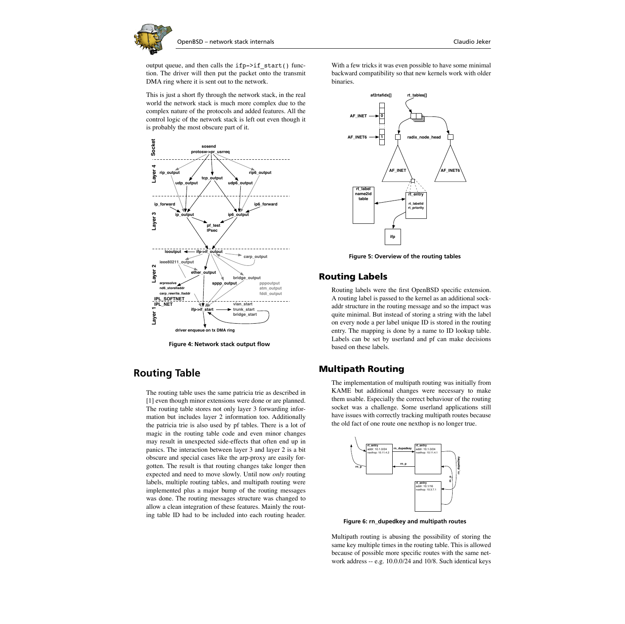output queue, and then calls the  $ifp->if~start()$  function. The driver will then put the packet onto the transmit DMA ring where it is sent out to the network.

This is just a short fly through the network stack, in the real world the network stack is much more complex due to the complex nature of the protocols and added features. All the control logic of the network stack is left out even though it is probably the most obscure part of it.



**Figure 4: Network stack output flow**

## **Routing Table**

The routing table uses the same patricia trie as described in [\[1\]](#page-5-0) even though minor extensions were done or are planned. The routing table stores not only layer 3 forwarding information but includes layer 2 information too. Additionally the patricia trie is also used by pf tables. There is a lot of magic in the routing table code and even minor changes may result in unexpected side-effects that often end up in panics. The interaction between layer 3 and layer 2 is a bit obscure and special cases like the arp-proxy are easily forgotten. The result is that routing changes take longer then expected and need to move slowly. Until now *only* routing labels, multiple routing tables, and multipath routing were implemented plus a major bump of the routing messages was done. The routing messages structure was changed to allow a clean integration of these features. Mainly the routing table ID had to be included into each routing header.

With a few tricks it was even possible to have some minimal backward compatibility so that new kernels work with older binaries.



**Figure 5: Overview of the routing tables**

#### <span id="page-3-0"></span>**Routing Labels**

Routing labels were the first OpenBSD specific extension. A routing label is passed to the kernel as an additional sockaddr structure in the routing message and so the impact was quite minimal. But instead of storing a string with the label on every node a per label unique ID is stored in the routing entry. The mapping is done by a name to ID lookup table. Labels can be set by userland and pf can make decisions based on these labels.

#### **Multipath Routing**

The implementation of multipath routing was initially from KAME but additional changes were necessary to make them usable. Especially the correct behaviour of the routing socket was a challenge. Some userland applications still have issues with correctly tracking multipath routes because the old fact of one route one nexthop is no longer true.



**Figure 6: rn\_dupedkey and multipath routes**

Multipath routing is abusing the possibility of storing the same key multiple times in the routing table. This is allowed because of possible more specific routes with the same network address -- e.g. 10.0.0/24 and 10/8. Such identical keys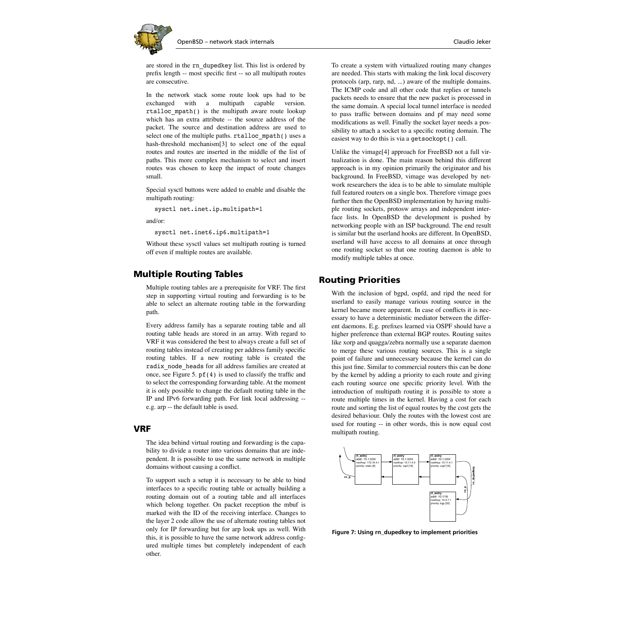

are stored in the rn\_dupedkey list. This list is ordered by prefix length -- most specific first -- so all multipath routes are consecutive.

In the network stack some route look ups had to be exchanged with a multipath capable version. rtalloc\_mpath() is the multipath aware route lookup which has an extra attribute -- the source address of the packet. The source and destination address are used to select one of the multiple paths. rtalloc\_mpath() uses a hash-threshold mechanism[\[3\]](#page-5-2) to select one of the equal routes and routes are inserted in the middle of the list of paths. This more complex mechanism to select and insert routes was chosen to keep the impact of route changes small.

Special sysctl buttons were added to enable and disable the multipath routing:

sysctl net.inet.ip.multipath=1

and/or:

sysctl net.inet6.ip6.multipath=1

Without these sysctl values set multipath routing is turned off even if multiple routes are available.

### **Multiple Routing Tables**

Multiple routing tables are a prerequisite for VRF. The first step in supporting virtual routing and forwarding is to be able to select an alternate routing table in the forwarding path.

Every address family has a separate routing table and all routing table heads are stored in an array. With regard to VRF it was considered the best to always create a full set of routing tables instead of creating per address family specific routing tables. If a new routing table is created the radix\_node\_heads for all address families are created at once, see [Figure 5](#page-3-0). pf(4) is used to classify the traffic and to select the corresponding forwarding table. At the moment it is only possible to change the default routing table in the IP and IPv6 forwarding path. For link local addressing - e.g. arp -- the default table is used.

#### **VRF**

The idea behind virtual routing and forwarding is the capability to divide a router into various domains that are independent. It is possible to use the same network in multiple domains without causing a conflict.

To support such a setup it is necessary to be able to bind interfaces to a specific routing table or actually building a routing domain out of a routing table and all interfaces which belong together. On packet reception the mbuf is marked with the ID of the receiving interface. Changes to the layer 2 code allow the use of alternate routing tables not only for IP forwarding but for arp look ups as well. With this, it is possible to have the same network address configured multiple times but completely independent of each other.

To create a system with virtualized routing many changes are needed. This starts with making the link local discovery protocols (arp, rarp, nd, ...) aware of the multiple domains. The ICMP code and all other code that replies or tunnels packets needs to ensure that the new packet is processed in the same domain. A special local tunnel interface is needed to pass traffic between domains and pf may need some modifications as well. Finally the socket layer needs a possibility to attach a socket to a specific routing domain. The easiest way to do this is via a getsockopt() call.

Unlike the vimag[e\[4\]](#page-5-3) approach for FreeBSD not a full virtualization is done. The main reason behind this different approach is in my opinion primarily the originator and his background. In FreeBSD, vimage was developed by network researchers the idea is to be able to simulate multiple full featured routers on a single box. Therefore vimage goes further then the OpenBSD implementation by having multiple routing sockets, protosw arrays and independent interface lists. In OpenBSD the development is pushed by networking people with an ISP background. The end result is similar but the userland hooks are different. In OpenBSD, userland will have access to all domains at once through one routing socket so that one routing daemon is able to modify multiple tables at once.

### **Routing Priorities**

With the inclusion of bgpd, ospfd, and ripd the need for userland to easily manage various routing source in the kernel became more apparent. In case of conflicts it is necessary to have a deterministic mediator between the different daemons. E.g. prefixes learned via OSPF should have a higher preference than external BGP routes. Routing suites like xorp and quagga/zebra normally use a separate daemon to merge these various routing sources. This is a single point of failure and unnecessary because the kernel can do this just fine. Similar to commercial routers this can be done by the kernel by adding a priority to each route and giving each routing source one specific priority level. With the introduction of multipath routing it is possible to store a route multiple times in the kernel. Having a cost for each route and sorting the list of equal routes by the cost gets the desired behaviour. Only the routes with the lowest cost are used for routing -- in other words, this is now equal cost multipath routing.



**Figure 7: Using rn\_dupedkey to implement priorities**